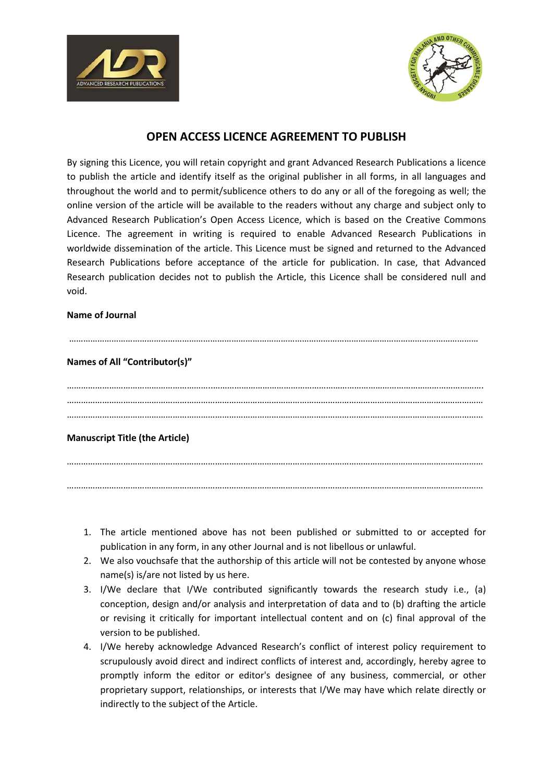



# **OPEN ACCESS LICENCE AGREEMENT TO PUBLISH**

By signing this Licence, you will retain copyright and grant Advanced Research Publications a licence to publish the article and identify itself as the original publisher in all forms, in all languages and throughout the world and to permit/sublicence others to do any or all of the foregoing as well; the online version of the article will be available to the readers without any charge and subject only to Advanced Research Publication's Open Access Licence, which is based on the Creative Commons Licence. The agreement in writing is required to enable Advanced Research Publications in worldwide dissemination of the article. This Licence must be signed and returned to the Advanced Research Publications before acceptance of the article for publication. In case, that Advanced Research publication decides not to publish the Article, this Licence shall be considered null and void.

#### **Name of Journal**

### …………………………………………………………………………………………………………………………………………………………

### **Names of All "Contributor(s)"**

……………………………………………………..……………………………………………………………………………………………………. …………………………………………………………………………………………………………………………………………………………… ……………………………………………………………………………………………………………………………………………………………

## **Manuscript Title (the Article)**

…………………………………………………………………………………………………………………………………………………………… ……………………………………………………………………………………………………………………………………………………………

- 1. The article mentioned above has not been published or submitted to or accepted for publication in any form, in any other Journal and is not libellous or unlawful.
- 2. We also vouchsafe that the authorship of this article will not be contested by anyone whose name(s) is/are not listed by us here.
- 3. I/We declare that I/We contributed significantly towards the research study i.e., (a) conception, design and/or analysis and interpretation of data and to (b) drafting the article or revising it critically for important intellectual content and on (c) final approval of the version to be published.
- 4. I/We hereby acknowledge Advanced Research's conflict of interest policy requirement to scrupulously avoid direct and indirect conflicts of interest and, accordingly, hereby agree to promptly inform the editor or editor's designee of any business, commercial, or other proprietary support, relationships, or interests that I/We may have which relate directly or indirectly to the subject of the Article.